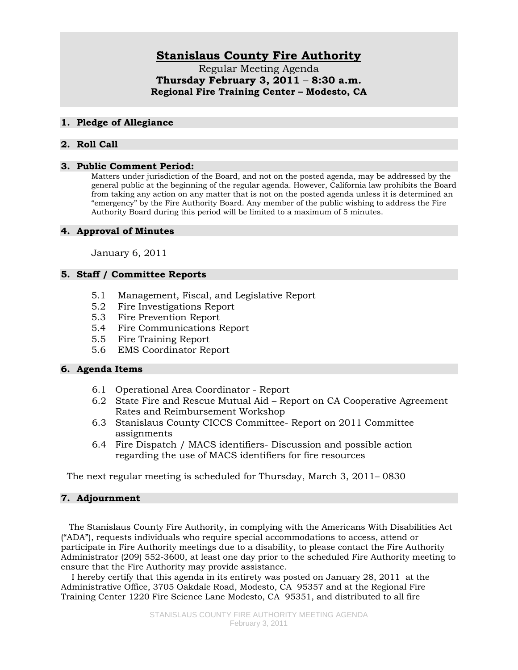# **Stanislaus County Fire Authority**

Regular Meeting Agenda **Thursday February 3, 2011** – **8:30 a.m. Regional Fire Training Center – Modesto, CA** 

## **1. Pledge of Allegiance**

# **2. Roll Call**

#### **3. Public Comment Period:**

Matters under jurisdiction of the Board, and not on the posted agenda, may be addressed by the general public at the beginning of the regular agenda. However, California law prohibits the Board from taking any action on any matter that is not on the posted agenda unless it is determined an "emergency" by the Fire Authority Board. Any member of the public wishing to address the Fire Authority Board during this period will be limited to a maximum of 5 minutes.

#### **4. Approval of Minutes**

January 6, 2011

# **5. Staff / Committee Reports**

- 5.1 Management, Fiscal, and Legislative Report
- 5.2 Fire Investigations Report
- 5.3 Fire Prevention Report
- 5.4 Fire Communications Report
- 5.5 Fire Training Report
- 5.6 EMS Coordinator Report

## **6. Agenda Items**

- 6.1 Operational Area Coordinator Report
- 6.2 State Fire and Rescue Mutual Aid Report on CA Cooperative Agreement Rates and Reimbursement Workshop
- 6.3 Stanislaus County CICCS Committee- Report on 2011 Committee assignments
- 6.4 Fire Dispatch / MACS identifiers- Discussion and possible action regarding the use of MACS identifiers for fire resources

The next regular meeting is scheduled for Thursday, March 3, 2011– 0830

## **7. Adjournment**

 The Stanislaus County Fire Authority, in complying with the Americans With Disabilities Act ("ADA"), requests individuals who require special accommodations to access, attend or participate in Fire Authority meetings due to a disability, to please contact the Fire Authority Administrator (209) 552-3600, at least one day prior to the scheduled Fire Authority meeting to ensure that the Fire Authority may provide assistance.

 I hereby certify that this agenda in its entirety was posted on January 28, 2011 at the Administrative Office, 3705 Oakdale Road, Modesto, CA 95357 and at the Regional Fire Training Center 1220 Fire Science Lane Modesto, CA 95351, and distributed to all fire